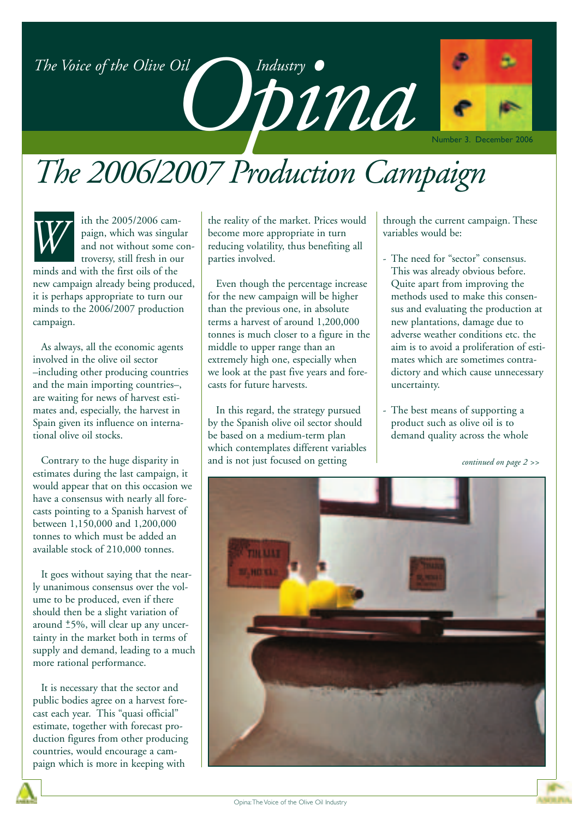### *The Voice of the Olive Oil*



## *The 2006/2007 Production Campaign*



ith the 2005/2006 campaign, which was singular and not without some controversy, still fresh in our

minds and with the first oils of the new campaign already being produced, it is perhaps appropriate to turn our minds to the 2006/2007 production campaign.

As always, all the economic agents involved in the olive oil sector –including other producing countries and the main importing countries–, are waiting for news of harvest estimates and, especially, the harvest in Spain given its influence on international olive oil stocks.

Contrary to the huge disparity in estimates during the last campaign, it would appear that on this occasion we have a consensus with nearly all forecasts pointing to a Spanish harvest of between 1,150,000 and 1,200,000 tonnes to which must be added an available stock of 210,000 tonnes.

It goes without saying that the nearly unanimous consensus over the volume to be produced, even if there should then be a slight variation of around <sup>+</sup>5%, will clear up any uncertainty in the market both in terms of supply and demand, leading to a much more rational performance.

It is necessary that the sector and public bodies agree on a harvest forecast each year. This "quasi official" estimate, together with forecast production figures from other producing countries, would encourage a campaign which is more in keeping with

the reality of the market. Prices would become more appropriate in turn reducing volatility, thus benefiting all parties involved.

Even though the percentage increase for the new campaign will be higher than the previous one, in absolute terms a harvest of around 1,200,000 tonnes is much closer to a figure in the middle to upper range than an extremely high one, especially when we look at the past five years and forecasts for future harvests.

In this regard, the strategy pursued by the Spanish olive oil sector should be based on a medium-term plan which contemplates different variables and is not just focused on getting

through the current campaign. These variables would be:

- The need for "sector" consensus. This was already obvious before. Quite apart from improving the methods used to make this consensus and evaluating the production at new plantations, damage due to adverse weather conditions etc. the aim is to avoid a proliferation of estimates which are sometimes contradictory and which cause unnecessary uncertainty.
- The best means of supporting a product such as olive oil is to demand quality across the whole

*continued on page 2 >>*

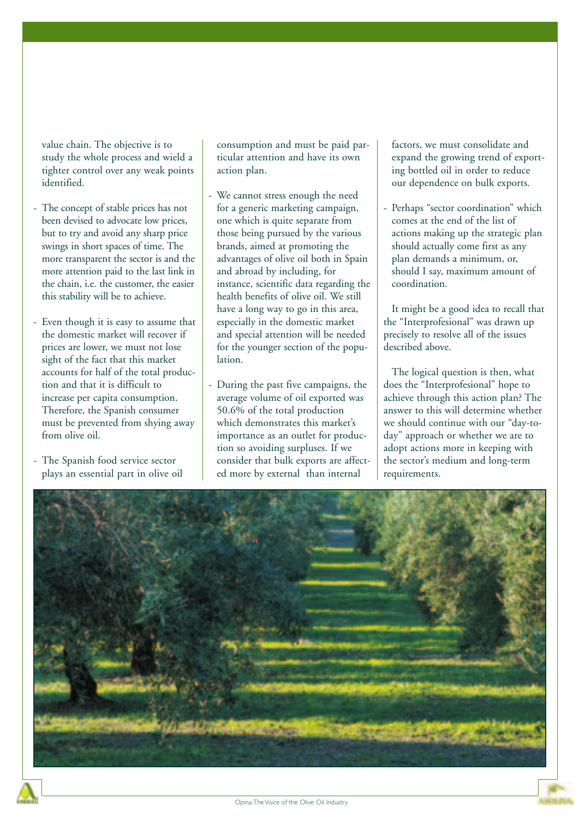value chain. The objective is to study the whole process and wield a tighter control over any weak points identified.

- The concept of stable prices has not been devised to advocate low prices, but to try and avoid any sharp price swings in short spaces of time. The more transparent the sector is and the more attention paid to the last link in the chain, i.e. the customer, the easier this stability will be to achieve.
- Even though it is easy to assume that the domestic market will recover if prices are lower, we must not lose sight of the fact that this market accounts for half of the total production and that it is difficult to increase per capita consumption. Therefore, the Spanish consumer must be prevented from shying away from olive oil.
- The Spanish food service sector plays an essential part in olive oil

consumption and must be paid particular attention and have its own action plan.

- We cannot stress enough the need for a generic marketing campaign, one which is quite separate from those being pursued by the various brands, aimed at promoting the advantages of olive oil both in Spain and abroad by including, for instance, scientific data regarding the health benefits of olive oil. We still have a long way to go in this area, especially in the domestic market and special attention will be needed for the younger section of the population.
- During the past five campaigns, the average volume of oil exported was 50.6% of the total production which demonstrates this market's importance as an outlet for production so avoiding surpluses. If we consider that bulk exports are affected more by external than internal

factors, we must consolidate and expand the growing trend of exporting bottled oil in order to reduce our dependence on bulk exports.

Perhaps "sector coordination" which comes at the end of the list of actions making up the strategic plan should actually come first as any plan demands a minimum, or, should I say, maximum amount of coordination.

It might be a good idea to recall that the "Interprofesional" was drawn up precisely to resolve all of the issues described above.

The logical question is then, what does the "Interprofesional" hope to achieve through this action plan? The answer to this will determine whether we should continue with our "day-today" approach or whether we are to adopt actions more in keeping with the sector's medium and long-term requirements.

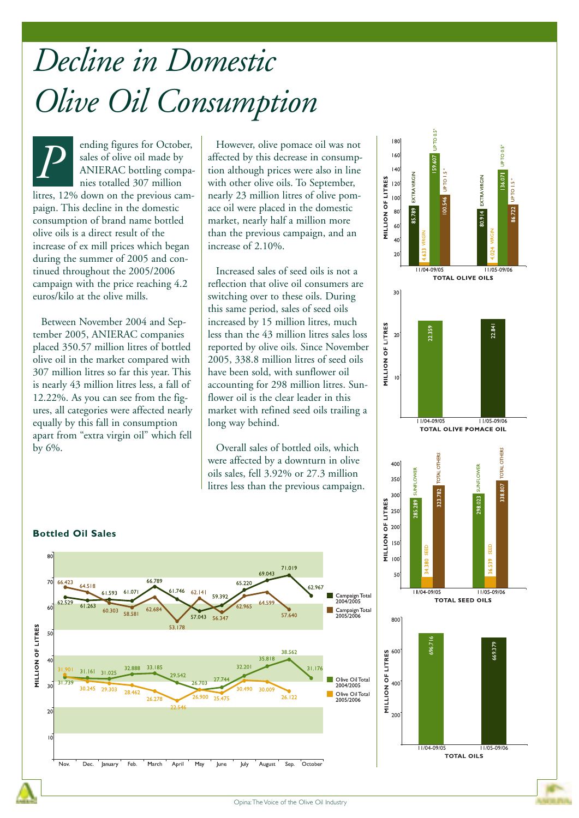# *Decline in Domestic Olive Oil Consumption*

ending figures for October, sales of olive oil made by ANIERAC bottling companies totalled 307 million litres, 12% down on the previous campaign. This decline in the domestic consumption of brand name bottled olive oils is a direct result of the increase of ex mill prices which began during the summer of 2005 and continued throughout the 2005/2006 campaign with the price reaching 4.2 euros/kilo at the olive mills. **P** ending figures for October, solive pomace oil was not sales of olive oil made by affected by this decrease in consump ANIERAC bottling compa-<br>nies totalled 307 million

Between November 2004 and September 2005, ANIERAC companies placed 350.57 million litres of bottled olive oil in the market compared with 307 million litres so far this year. This is nearly 43 million litres less, a fall of 12.22%. As you can see from the figures, all categories were affected nearly equally by this fall in consumption apart from "extra virgin oil" which fell by 6%.

affected by this decrease in consumption although prices were also in line with other olive oils. To September, nearly 23 million litres of olive pomace oil were placed in the domestic market, nearly half a million more than the previous campaign, and an increase of 2.10%.

Increased sales of seed oils is not a reflection that olive oil consumers are switching over to these oils. During this same period, sales of seed oils increased by 15 million litres, much less than the 43 million litres sales loss reported by olive oils. Since November 2005, 338.8 million litres of seed oils have been sold, with sunflower oil accounting for 298 million litres. Sunflower oil is the clear leader in this market with refined seed oils trailing a long way behind.

Overall sales of bottled oils, which were affected by a downturn in olive oils sales, fell 3.92% or 27.3 million litres less than the previous campaign.



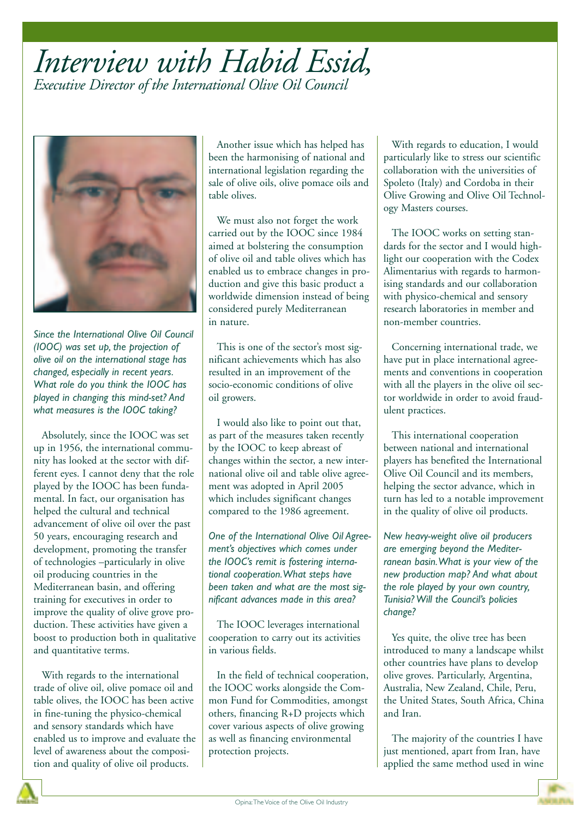### *Interview with Habid Essid, Executive Director of the International Olive Oil Council*



*Since the International Olive Oil Council (IOOC) was set up, the projection of olive oil on the international stage has changed, especially in recent years. What role do you think the IOOC has played in changing this mind-set? And what measures is the IOOC taking?* 

Absolutely, since the IOOC was set up in 1956, the international community has looked at the sector with different eyes. I cannot deny that the role played by the IOOC has been fundamental. In fact, our organisation has helped the cultural and technical advancement of olive oil over the past 50 years, encouraging research and development, promoting the transfer of technologies –particularly in olive oil producing countries in the Mediterranean basin, and offering training for executives in order to improve the quality of olive grove production. These activities have given a boost to production both in qualitative and quantitative terms.

With regards to the international trade of olive oil, olive pomace oil and table olives, the IOOC has been active in fine-tuning the physico-chemical and sensory standards which have enabled us to improve and evaluate the level of awareness about the composition and quality of olive oil products.

Another issue which has helped has been the harmonising of national and international legislation regarding the sale of olive oils, olive pomace oils and table olives.

We must also not forget the work carried out by the IOOC since 1984 aimed at bolstering the consumption of olive oil and table olives which has enabled us to embrace changes in production and give this basic product a worldwide dimension instead of being considered purely Mediterranean in nature.

This is one of the sector's most significant achievements which has also resulted in an improvement of the socio-economic conditions of olive oil growers.

I would also like to point out that, as part of the measures taken recently by the IOOC to keep abreast of changes within the sector, a new international olive oil and table olive agreement was adopted in April 2005 which includes significant changes compared to the 1986 agreement.

*One of the International Olive Oil Agreement's objectives which comes under the IOOC's remit is fostering international cooperation.What steps have been taken and what are the most significant advances made in this area?* 

The IOOC leverages international cooperation to carry out its activities in various fields.

In the field of technical cooperation, the IOOC works alongside the Common Fund for Commodities, amongst others, financing R+D projects which cover various aspects of olive growing as well as financing environmental protection projects.

With regards to education, I would particularly like to stress our scientific collaboration with the universities of Spoleto (Italy) and Cordoba in their Olive Growing and Olive Oil Technology Masters courses.

The IOOC works on setting standards for the sector and I would highlight our cooperation with the Codex Alimentarius with regards to harmonising standards and our collaboration with physico-chemical and sensory research laboratories in member and non-member countries.

Concerning international trade, we have put in place international agreements and conventions in cooperation with all the players in the olive oil sector worldwide in order to avoid fraudulent practices.

This international cooperation between national and international players has benefited the International Olive Oil Council and its members, helping the sector advance, which in turn has led to a notable improvement in the quality of olive oil products.

*New heavy-weight olive oil producers are emerging beyond the Mediterranean basin.What is your view of the new production map? And what about the role played by your own country, Tunisia? Will the Council's policies change?* 

Yes quite, the olive tree has been introduced to many a landscape whilst other countries have plans to develop olive groves. Particularly, Argentina, Australia, New Zealand, Chile, Peru, the United States, South Africa, China and Iran.

The majority of the countries I have just mentioned, apart from Iran, have applied the same method used in wine

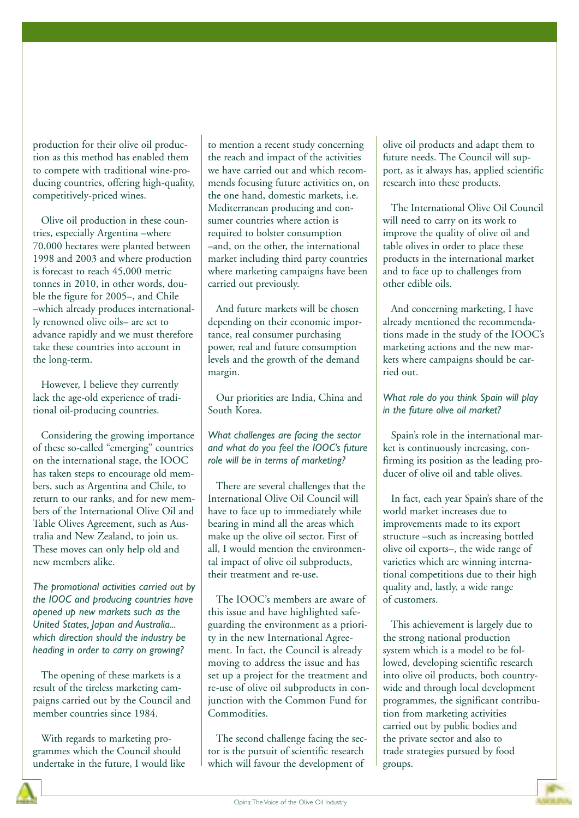production for their olive oil production as this method has enabled them to compete with traditional wine-producing countries, offering high-quality, competitively-priced wines.

Olive oil production in these countries, especially Argentina –where 70,000 hectares were planted between 1998 and 2003 and where production is forecast to reach 45,000 metric tonnes in 2010, in other words, double the figure for 2005–, and Chile –which already produces internationally renowned olive oils– are set to advance rapidly and we must therefore take these countries into account in the long-term.

However, I believe they currently lack the age-old experience of traditional oil-producing countries.

Considering the growing importance of these so-called "emerging" countries on the international stage, the IOOC has taken steps to encourage old members, such as Argentina and Chile, to return to our ranks, and for new members of the International Olive Oil and Table Olives Agreement, such as Australia and New Zealand, to join us. These moves can only help old and new members alike.

*The promotional activities carried out by the IOOC and producing countries have opened up new markets such as the United States, Japan and Australia... which direction should the industry be heading in order to carry on growing?* 

The opening of these markets is a result of the tireless marketing campaigns carried out by the Council and member countries since 1984.

With regards to marketing programmes which the Council should undertake in the future, I would like to mention a recent study concerning the reach and impact of the activities we have carried out and which recommends focusing future activities on, on the one hand, domestic markets, i.e. Mediterranean producing and consumer countries where action is required to bolster consumption –and, on the other, the international market including third party countries where marketing campaigns have been carried out previously.

And future markets will be chosen depending on their economic importance, real consumer purchasing power, real and future consumption levels and the growth of the demand margin.

Our priorities are India, China and South Korea.

#### *What challenges are facing the sector and what do you feel the IOOC's future role will be in terms of marketing?*

There are several challenges that the International Olive Oil Council will have to face up to immediately while bearing in mind all the areas which make up the olive oil sector. First of all, I would mention the environmental impact of olive oil subproducts, their treatment and re-use.

The IOOC's members are aware of this issue and have highlighted safeguarding the environment as a priority in the new International Agreement. In fact, the Council is already moving to address the issue and has set up a project for the treatment and re-use of olive oil subproducts in conjunction with the Common Fund for Commodities.

The second challenge facing the sector is the pursuit of scientific research which will favour the development of

olive oil products and adapt them to future needs. The Council will support, as it always has, applied scientific research into these products.

The International Olive Oil Council will need to carry on its work to improve the quality of olive oil and table olives in order to place these products in the international market and to face up to challenges from other edible oils.

And concerning marketing, I have already mentioned the recommendations made in the study of the IOOC's marketing actions and the new markets where campaigns should be carried out.

#### *What role do you think Spain will play in the future olive oil market?*

Spain's role in the international market is continuously increasing, confirming its position as the leading producer of olive oil and table olives.

In fact, each year Spain's share of the world market increases due to improvements made to its export structure –such as increasing bottled olive oil exports–, the wide range of varieties which are winning international competitions due to their high quality and, lastly, a wide range of customers.

This achievement is largely due to the strong national production system which is a model to be followed, developing scientific research into olive oil products, both countrywide and through local development programmes, the significant contribution from marketing activities carried out by public bodies and the private sector and also to trade strategies pursued by food groups.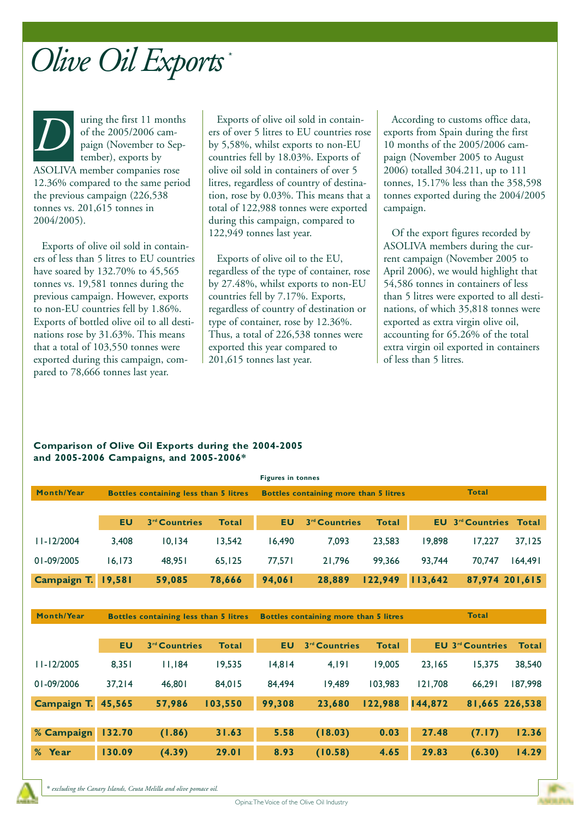

uring the first 11 months of the 2005/2006 campaign (November to September), exports by ASOLIVA member companies rose 12.36% compared to the same period the previous campaign (226,538 tonnes vs. 201,615 tonnes in 2004/2005). *D* uring the first 11 months<br>of the 2005/2006 cam-<br>paign (November to Sep-<br>tember), exports by<br>countries fell by 18.03%. Exports of

Exports of olive oil sold in containers of less than 5 litres to EU countries have soared by 132.70% to 45,565 tonnes vs. 19,581 tonnes during the previous campaign. However, exports to non-EU countries fell by 1.86%. Exports of bottled olive oil to all destinations rose by 31.63%. This means that a total of 103,550 tonnes were exported during this campaign, compared to 78,666 tonnes last year.

ers of over 5 litres to EU countries rose by 5,58%, whilst exports to non-EU countries fell by 18.03%. Exports of olive oil sold in containers of over 5 litres, regardless of country of destination, rose by 0.03%. This means that a total of 122,988 tonnes were exported during this campaign, compared to 122,949 tonnes last year.

Exports of olive oil to the EU, regardless of the type of container, rose by 27.48%, whilst exports to non-EU countries fell by 7.17%. Exports, regardless of country of destination or type of container, rose by 12.36%. Thus, a total of 226,538 tonnes were exported this year compared to 201,615 tonnes last year.

According to customs office data, exports from Spain during the first 10 months of the 2005/2006 campaign (November 2005 to August 2006) totalled 304.211, up to 111 tonnes, 15.17% less than the 358,598 tonnes exported during the 2004/2005 campaign.

Of the export figures recorded by ASOLIVA members during the current campaign (November 2005 to April 2006), we would highlight that 54,586 tonnes in containers of less than 5 litres were exported to all destinations, of which 35,818 tonnes were exported as extra virgin olive oil, accounting for 65.26% of the total extra virgin oil exported in containers of less than 5 litres.

#### **Comparison of Olive Oil Exports during the 2004-2005 and 2005-2006 Campaigns, and 2005-2006\***

|                |                                              |                           |              | <b>Figures in tonnes</b>              |                           |              |              |                                 |              |
|----------------|----------------------------------------------|---------------------------|--------------|---------------------------------------|---------------------------|--------------|--------------|---------------------------------|--------------|
| Month/Year     | <b>Bottles containing less than 5 litres</b> |                           |              | Bottles containing more than 5 litres |                           |              | <b>Total</b> |                                 |              |
|                |                                              |                           |              |                                       |                           |              |              |                                 |              |
|                | <b>EU</b>                                    | 3 <sup>rd</sup> Countries | <b>Total</b> | <b>EU</b>                             | 3 <sup>rd</sup> Countries | <b>Total</b> | <b>EU</b>    | 3 <sup>rd</sup> Countries Total |              |
| $11 - 12/2004$ | 3,408                                        | 10,134                    | 13,542       | 16,490                                | 7,093                     | 23,583       | 19,898       | 17,227                          | 37,125       |
| 01-09/2005     | 16, 173                                      | 48,951                    | 65,125       | 77,571                                | 21,796                    | 99,366       | 93,744       | 70,747                          | 164.491      |
| Campaign T.    | 19,581                                       | 59,085                    | 78,666       | 94,061                                | 28,889                    | 122,949      | 113,642      | 87,974 201,615                  |              |
|                |                                              |                           |              |                                       |                           |              |              |                                 |              |
| Month/Year     | <b>Bottles containing less than 5 litres</b> |                           |              | Bottles containing more than 5 litres |                           |              | <b>Total</b> |                                 |              |
|                |                                              |                           |              |                                       |                           |              |              |                                 |              |
|                | <b>EU</b>                                    | 3 <sup>rd</sup> Countries | <b>Total</b> | <b>EU</b>                             | 3 <sup>rd</sup> Countries | <b>Total</b> |              | <b>EU 3rd Countries</b>         | <b>Total</b> |
| $11 - 12/2005$ | 8,351                                        | 11,184                    | 19,535       | 14,814                                | 4,191                     | 19,005       | 23,165       | 15,375                          | 38,540       |
| 01-09/2006     | 37,214                                       | 46,801                    | 84,015       | 84,494                                | 19,489                    | 103,983      | 121,708      | 66,291                          | 187,998      |
| Campaign T.    | 45,565                                       | 57,986                    | 103,550      | 99,308                                | 23,680                    | 122,988      | 144,872      | 81,665 226,538                  |              |
|                |                                              |                           |              |                                       |                           |              |              |                                 |              |
| % Campaign     | 132.70                                       | (1.86)                    | 31.63        | 5.58                                  | (18.03)                   | 0.03         | 27.48        | (7.17)                          | 12.36        |
| Year<br>%      | 130.09                                       | (4.39)                    | 29.01        | 8.93                                  | (10.58)                   | 4.65         | 29.83        | (6.30)                          | 14.29        |

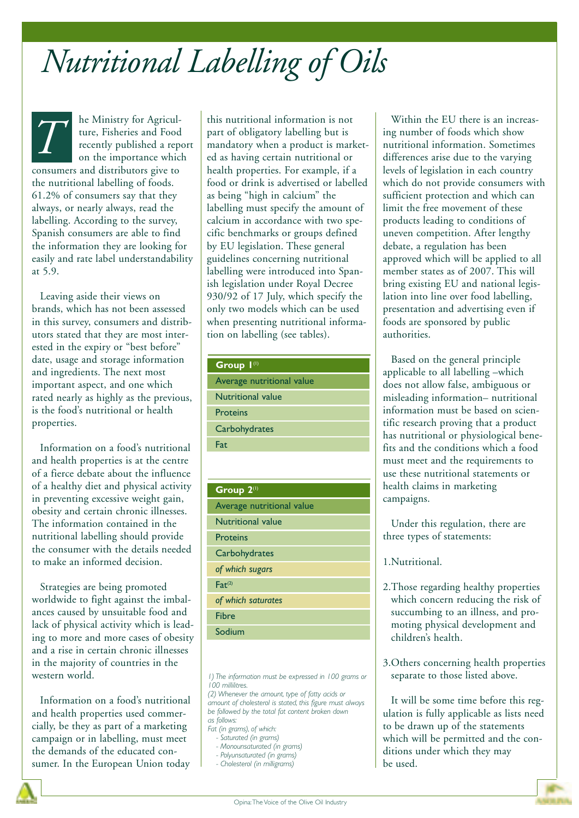## *Nutritional Labelling of Oils*

he Ministry for Agriculture, Fisheries and Food recently published a report on the importance which consumers and distributors give to the nutritional labelling of foods. 61.2% of consumers say that they always, or nearly always, read the labelling. According to the survey, Spanish consumers are able to find the information they are looking for easily and rate label understandability at 5.9. *T*

Leaving aside their views on brands, which has not been assessed in this survey, consumers and distributors stated that they are most interested in the expiry or "best before" date, usage and storage information and ingredients. The next most important aspect, and one which rated nearly as highly as the previous, is the food's nutritional or health properties.

Information on a food's nutritional and health properties is at the centre of a fierce debate about the influence of a healthy diet and physical activity in preventing excessive weight gain, obesity and certain chronic illnesses. The information contained in the nutritional labelling should provide the consumer with the details needed to make an informed decision.

Strategies are being promoted worldwide to fight against the imbalances caused by unsuitable food and lack of physical activity which is leading to more and more cases of obesity and a rise in certain chronic illnesses in the majority of countries in the western world.

Information on a food's nutritional and health properties used commercially, be they as part of a marketing campaign or in labelling, must meet the demands of the educated consumer. In the European Union today

this nutritional information is not part of obligatory labelling but is mandatory when a product is marketed as having certain nutritional or health properties. For example, if a food or drink is advertised or labelled as being "high in calcium" the labelling must specify the amount of calcium in accordance with two specific benchmarks or groups defined by EU legislation. These general guidelines concerning nutritional labelling were introduced into Spanish legislation under Royal Decree 930/92 of 17 July, which specify the only two models which can be used when presenting nutritional information on labelling (see tables).

| Group 1(1)                |
|---------------------------|
| Average nutritional value |
| Nutritional value         |
| Proteins                  |
| Carbohydrates             |
| Fat                       |

| Group 2(1)                |  |  |  |  |
|---------------------------|--|--|--|--|
| Average nutritional value |  |  |  |  |
| <b>Nutritional value</b>  |  |  |  |  |
| <b>Proteins</b>           |  |  |  |  |
| Carbohydrates             |  |  |  |  |
| of which sugars           |  |  |  |  |
| $Fat^{(2)}$               |  |  |  |  |
| of which saturates        |  |  |  |  |
| <b>Fibre</b>              |  |  |  |  |
| Sodium                    |  |  |  |  |

*1) The information must be expressed in 100 grams or 100 millilitres.*

*(2) Whenever the amount, type of fatty acids or amount of cholesterol is stated, this figure must always be followed by the total fat content broken down as follows:*

- *Fat (in grams), of which: - Saturated (in grams)*
- *Monounsaturated (in grams)*
- *Polyunsaturated (in grams)*
- *Cholesterol (in milligrams)*

Within the EU there is an increasing number of foods which show nutritional information. Sometimes differences arise due to the varying levels of legislation in each country which do not provide consumers with sufficient protection and which can limit the free movement of these products leading to conditions of uneven competition. After lengthy debate, a regulation has been approved which will be applied to all member states as of 2007. This will bring existing EU and national legislation into line over food labelling, presentation and advertising even if foods are sponsored by public authorities.

Based on the general principle applicable to all labelling –which does not allow false, ambiguous or misleading information– nutritional information must be based on scientific research proving that a product has nutritional or physiological benefits and the conditions which a food must meet and the requirements to use these nutritional statements or health claims in marketing campaigns.

Under this regulation, there are three types of statements:

#### 1.Nutritional.

- 2.Those regarding healthy properties which concern reducing the risk of succumbing to an illness, and promoting physical development and children's health.
- 3.Others concerning health properties separate to those listed above.

It will be some time before this regulation is fully applicable as lists need to be drawn up of the statements which will be permitted and the conditions under which they may be used.